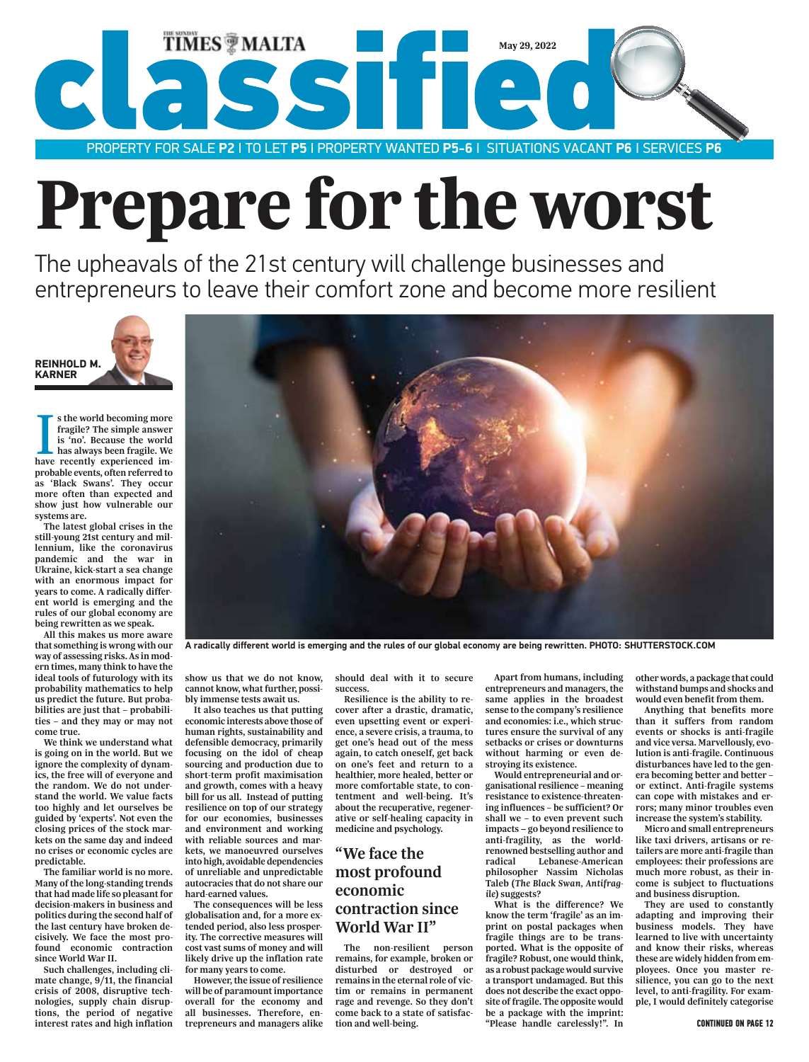

# Prepare for the worst

The upheavals of the 21st century will challenge businesses and entrepreneurs to leave their comfort zone and become more resilient



**s the world becoming more fragile? The simple answer is 'no'. Because the world has always been fragile. We have recently experienced ims the world becoming more fragile? The simple answer is 'no'. Because the world has always been fragile. We probable events, often referred to as 'Black Swans'. They occur more often than expected and show just how vulnerable our systems are.** 

**The latest global crises in the still-young 21st century and millennium, like the coronavirus pandemic and the war in Ukraine, kick-start a sea change with an enormous impact for years to come. A radically different world is emerging and the rules of our global economy are being rewritten as we speak.** 

**All this makes us more aware that something is wrong with our way of assessing risks. As in modern times, many think to have the ideal tools of futurology with its probability mathematics to help us predict the future. But probabilities are just that – probabilities – and they may or may not come true.** 

**We think we understand what is going on in the world. But we ignore the complexity of dynamics, the free will of everyone and the random. We do not understand the world. We value facts too highly and let ourselves be guided by 'experts'. Not even the closing prices of the stock markets on the same day and indeed no crises or economic cycles are predictable.** 

**The familiar world is no more. Many of the long-standing trends that had made life so pleasant for decision-makers in business and politics during the second half of the last century have broken decisively. We face the most profound economic contraction since World War II.** 

**Such challenges, including climate change, 9/11, the financial crisis of 2008, disruptive technologies, supply chain disruptions, the period of negative interest rates and high inflation**  **show us that we do not know, cannot know, what further, possibly immense tests await us. It also teaches us that putting** 

**economic interests above those of human rights, sustainability and defensible democracy, primarily focusing on the idol of cheap sourcing and production due to short-term profit maximisation and growth, comes with a heavy bill for us all. Instead of putting resilience on top of our strategy for our economies, businesses and environment and working with reliable sources and markets, we manoeuvred ourselves into high, avoidable dependencies of unreliable and unpredictable autocracies that do not share our hard-earned values.** 

**The consequences will be less globalisation and, for a more extended period, also less prosperity. The corrective measures will cost vast sums of money and will likely drive up the inflation rate for many years to come.** 

**However, the issue of resilience will be of paramount importance overall for the economy and all businesses. Therefore, entrepreneurs and managers alike** 

**should deal with it to secure success.** 

**Resilience is the ability to recover after a drastic, dramatic, even upsetting event or experience, a severe crisis, a trauma, to get one's head out of the mess again, to catch oneself, get back on one's feet and return to a healthier, more healed, better or more comfortable state, to contentment and well-being. It's about the recuperative, regenerative or self-healing capacity in medicine and psychology.**

### **"We face the most profound economic contraction since World War II"**

**The non-resilient person remains, for example, broken or disturbed or destroyed or remains in the eternal role of victim or remains in permanent rage and revenge. So they don't come back to a state of satisfaction and well-being.** 

**Apart from humans, including entrepreneurs and managers, the same applies in the broadest sense to the company's resilience and economies: i.e., which structures ensure the survival of any setbacks or crises or downturns without harming or even destroying its existence.** 

**Would entrepreneurial and organisational resilience – meaning resistance to existence-threatening influences – be sufficient? Or shall we – to even prevent such impacts go beyond resilience to anti-fragility, as the worldrenowned bestselling author and radical Lebanese-American philosopher Nassim Nicholas Taleb (***The Black Swan, Antifragile***) suggests?** 

**What is the difference? We know the term 'fragile' as an imprint on postal packages when fragile things are to be transported. What is the opposite of fragile? Robust, one would think, as a robust package would survive a transport undamaged. But this does not describe the exact opposite of fragile. The opposite would be a package with the imprint: "Please handle carelessly!". In**  **other words, a package that could withstand bumps and shocks and would even benefit from them.**

**Anything that benefits more than it suffers from random events or shocks is anti-fragile and vice versa. Marvellously, evolution is anti-fragile. Continuous disturbances have led to the genera becoming better and better – or extinct. Anti-fragile systems can cope with mistakes and errors; many minor troubles even increase the system's stability.** 

**Micro and small entrepreneurs like taxi drivers, artisans or retailers are more anti-fragile than employees: their professions are much more robust, as their income is subject to fluctuations and business disruption.** 

**They are used to constantly adapting and improving their business models. They have learned to live with uncertainty and know their risks, whereas these are widely hidden from employees. Once you master resilience, you can go to the next level, to anti-fragility. For example, I would definitely categorise**